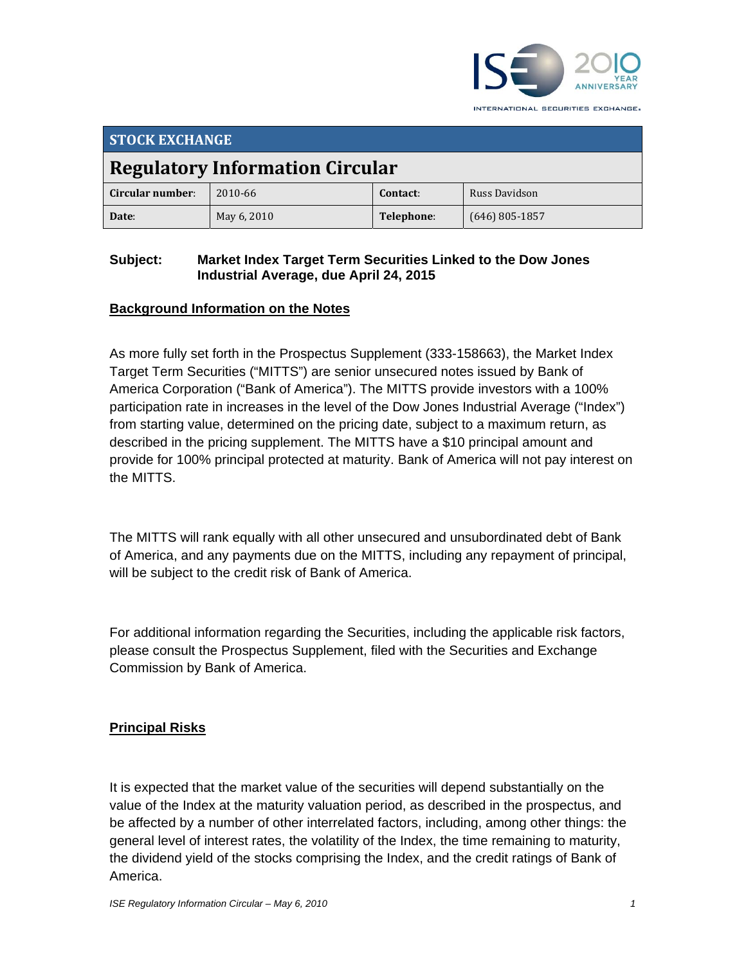

INTERNATIONAL SECURITIES EXCHANGE.

| <b>STOCK EXCHANGE</b>                  |             |            |                  |  |
|----------------------------------------|-------------|------------|------------------|--|
| <b>Regulatory Information Circular</b> |             |            |                  |  |
| Circular number:                       | 2010-66     | Contact:   | Russ Davidson    |  |
| Date:                                  | May 6, 2010 | Telephone: | $(646)$ 805-1857 |  |

### **Subject: Market Index Target Term Securities Linked to the Dow Jones Industrial Average, due April 24, 2015**

## **Background Information on the Notes**

As more fully set forth in the Prospectus Supplement (333-158663), the Market Index Target Term Securities ("MITTS") are senior unsecured notes issued by Bank of America Corporation ("Bank of America"). The MITTS provide investors with a 100% participation rate in increases in the level of the Dow Jones Industrial Average ("Index") from starting value, determined on the pricing date, subject to a maximum return, as described in the pricing supplement. The MITTS have a \$10 principal amount and provide for 100% principal protected at maturity. Bank of America will not pay interest on the MITTS.

The MITTS will rank equally with all other unsecured and unsubordinated debt of Bank of America, and any payments due on the MITTS, including any repayment of principal, will be subject to the credit risk of Bank of America.

For additional information regarding the Securities, including the applicable risk factors, please consult the Prospectus Supplement, filed with the Securities and Exchange Commission by Bank of America.

# **Principal Risks**

It is expected that the market value of the securities will depend substantially on the value of the Index at the maturity valuation period, as described in the prospectus, and be affected by a number of other interrelated factors, including, among other things: the general level of interest rates, the volatility of the Index, the time remaining to maturity, the dividend yield of the stocks comprising the Index, and the credit ratings of Bank of America.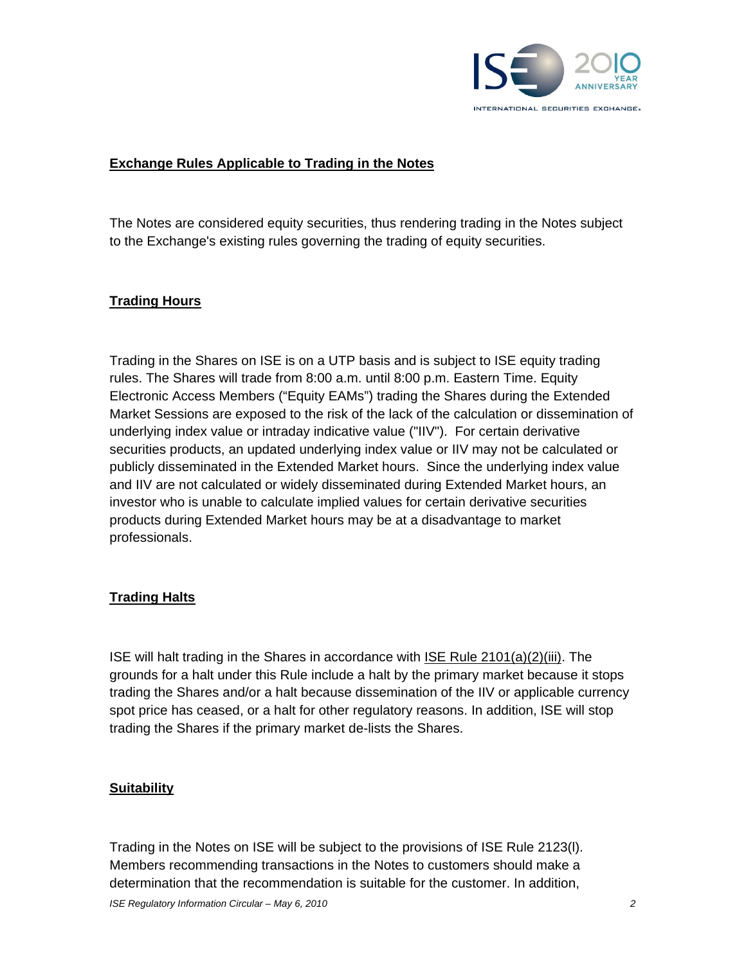

#### **Exchange Rules Applicable to Trading in the Notes**

The Notes are considered equity securities, thus rendering trading in the Notes subject to the Exchange's existing rules governing the trading of equity securities.

#### **Trading Hours**

Trading in the Shares on ISE is on a UTP basis and is subject to ISE equity trading rules. The Shares will trade from 8:00 a.m. until 8:00 p.m. Eastern Time. Equity Electronic Access Members ("Equity EAMs") trading the Shares during the Extended Market Sessions are exposed to the risk of the lack of the calculation or dissemination of underlying index value or intraday indicative value ("IIV"). For certain derivative securities products, an updated underlying index value or IIV may not be calculated or publicly disseminated in the Extended Market hours. Since the underlying index value and IIV are not calculated or widely disseminated during Extended Market hours, an investor who is unable to calculate implied values for certain derivative securities products during Extended Market hours may be at a disadvantage to market professionals.

#### **Trading Halts**

ISE will halt trading in the Shares in accordance with ISE Rule 2101(a)(2)(iii). The grounds for a halt under this Rule include a halt by the primary market because it stops trading the Shares and/or a halt because dissemination of the IIV or applicable currency spot price has ceased, or a halt for other regulatory reasons. In addition, ISE will stop trading the Shares if the primary market de-lists the Shares.

#### **Suitability**

Trading in the Notes on ISE will be subject to the provisions of ISE Rule 2123(l). Members recommending transactions in the Notes to customers should make a determination that the recommendation is suitable for the customer. In addition,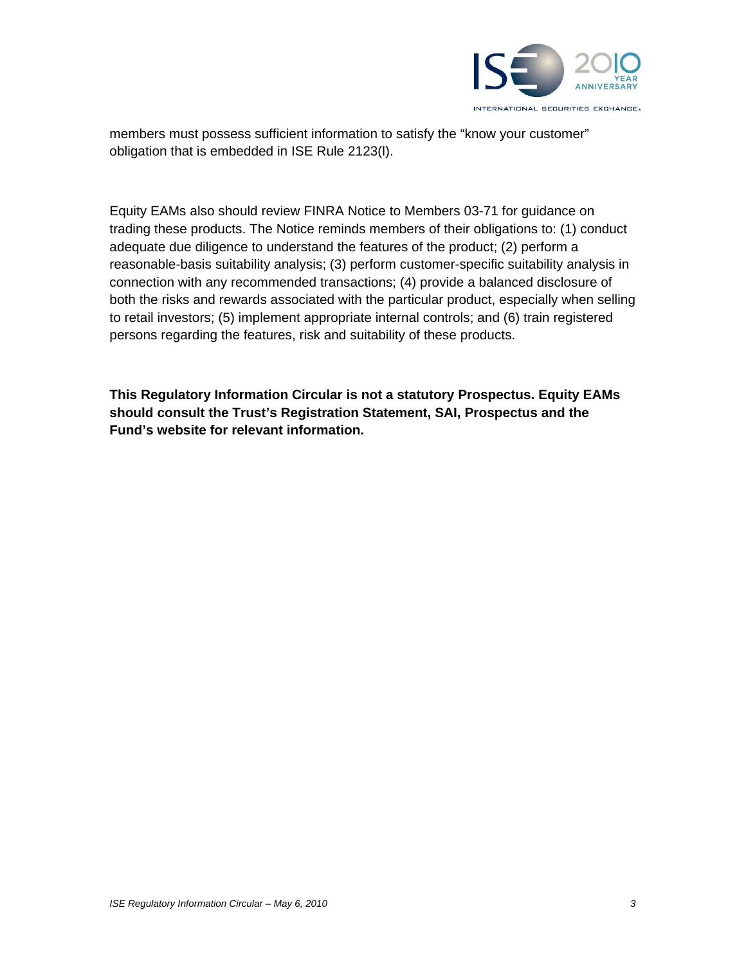

members must possess sufficient information to satisfy the "know your customer" obligation that is embedded in ISE Rule 2123(l).

Equity EAMs also should review FINRA Notice to Members 03-71 for guidance on trading these products. The Notice reminds members of their obligations to: (1) conduct adequate due diligence to understand the features of the product; (2) perform a reasonable-basis suitability analysis; (3) perform customer-specific suitability analysis in connection with any recommended transactions; (4) provide a balanced disclosure of both the risks and rewards associated with the particular product, especially when selling to retail investors; (5) implement appropriate internal controls; and (6) train registered persons regarding the features, risk and suitability of these products.

**This Regulatory Information Circular is not a statutory Prospectus. Equity EAMs should consult the Trust's Registration Statement, SAI, Prospectus and the Fund's website for relevant information.**